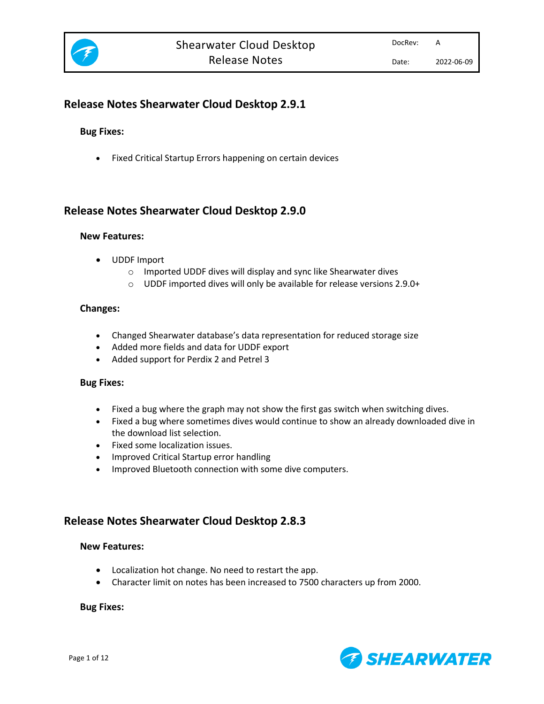

# **Release Notes Shearwater Cloud Desktop 2.9.1**

## **Bug Fixes:**

• Fixed Critical Startup Errors happening on certain devices

# **Release Notes Shearwater Cloud Desktop 2.9.0**

#### **New Features:**

- UDDF Import
	- o Imported UDDF dives will display and sync like Shearwater dives
	- o UDDF imported dives will only be available for release versions 2.9.0+

## **Changes:**

- Changed Shearwater database's data representation for reduced storage size
- Added more fields and data for UDDF export
- Added support for Perdix 2 and Petrel 3

## **Bug Fixes:**

- Fixed a bug where the graph may not show the first gas switch when switching dives.
- Fixed a bug where sometimes dives would continue to show an already downloaded dive in the download list selection.
- Fixed some localization issues.
- Improved Critical Startup error handling
- Improved Bluetooth connection with some dive computers.

# **Release Notes Shearwater Cloud Desktop 2.8.3**

## **New Features:**

- Localization hot change. No need to restart the app.
- Character limit on notes has been increased to 7500 characters up from 2000.

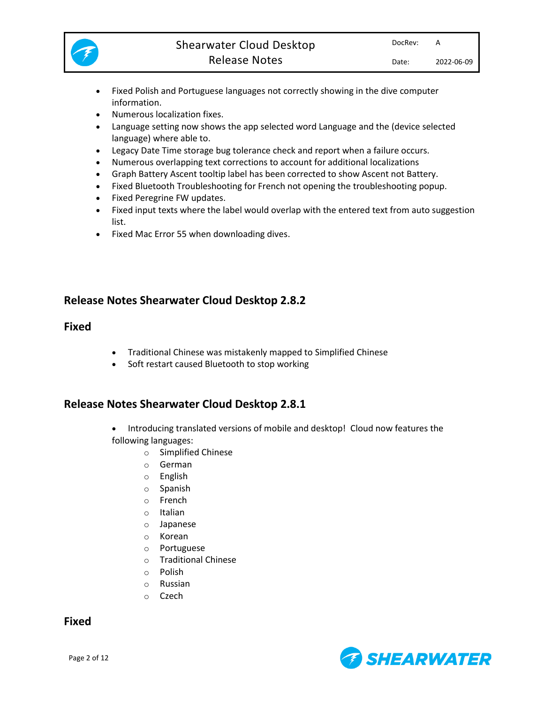

- Fixed Polish and Portuguese languages not correctly showing in the dive computer information.
- Numerous localization fixes.
- Language setting now shows the app selected word Language and the (device selected language) where able to.
- Legacy Date Time storage bug tolerance check and report when a failure occurs.
- Numerous overlapping text corrections to account for additional localizations
- Graph Battery Ascent tooltip label has been corrected to show Ascent not Battery.
- Fixed Bluetooth Troubleshooting for French not opening the troubleshooting popup.
- Fixed Peregrine FW updates.
- Fixed input texts where the label would overlap with the entered text from auto suggestion list.
- Fixed Mac Error 55 when downloading dives.

# **Release Notes Shearwater Cloud Desktop 2.8.2**

## **Fixed**

- Traditional Chinese was mistakenly mapped to Simplified Chinese
- Soft restart caused Bluetooth to stop working

# **Release Notes Shearwater Cloud Desktop 2.8.1**

- Introducing translated versions of mobile and desktop! Cloud now features the following languages:
	- o Simplified Chinese
	- o German
	- o English
	- o Spanish
	- o French
	- o Italian
	- o Japanese
	- o Korean
	- o Portuguese
	- o Traditional Chinese
	- o Polish
	- o Russian
	- o Czech

**Fixed**

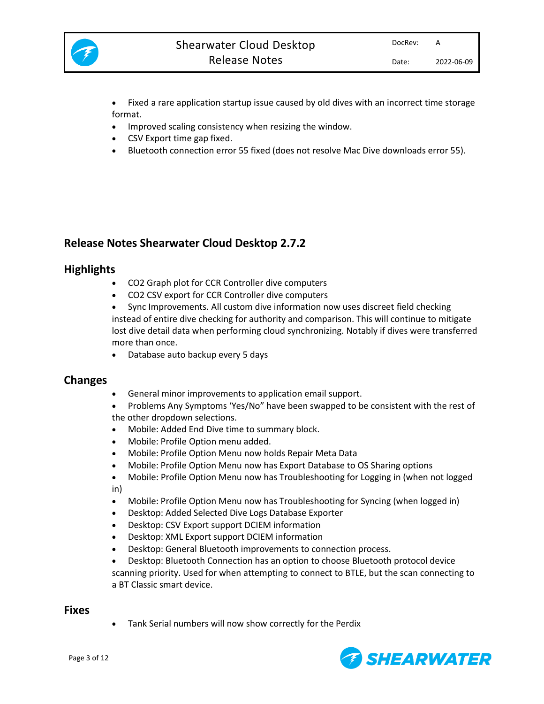

• Fixed a rare application startup issue caused by old dives with an incorrect time storage format.

- Improved scaling consistency when resizing the window.
- CSV Export time gap fixed.
- Bluetooth connection error 55 fixed (does not resolve Mac Dive downloads error 55).

# **Release Notes Shearwater Cloud Desktop 2.7.2**

## **Highlights**

- CO2 Graph plot for CCR Controller dive computers
- CO2 CSV export for CCR Controller dive computers

• Sync Improvements. All custom dive information now uses discreet field checking instead of entire dive checking for authority and comparison. This will continue to mitigate lost dive detail data when performing cloud synchronizing. Notably if dives were transferred more than once.

• Database auto backup every 5 days

## **Changes**

- General minor improvements to application email support.
- Problems Any Symptoms 'Yes/No" have been swapped to be consistent with the rest of the other dropdown selections.
- Mobile: Added End Dive time to summary block.
- Mobile: Profile Option menu added.
- Mobile: Profile Option Menu now holds Repair Meta Data
- Mobile: Profile Option Menu now has Export Database to OS Sharing options
- Mobile: Profile Option Menu now has Troubleshooting for Logging in (when not logged in)
- Mobile: Profile Option Menu now has Troubleshooting for Syncing (when logged in)
- Desktop: Added Selected Dive Logs Database Exporter
- Desktop: CSV Export support DCIEM information
- Desktop: XML Export support DCIEM information
- Desktop: General Bluetooth improvements to connection process.
- Desktop: Bluetooth Connection has an option to choose Bluetooth protocol device scanning priority. Used for when attempting to connect to BTLE, but the scan connecting to a BT Classic smart device.

## **Fixes**

• Tank Serial numbers will now show correctly for the Perdix

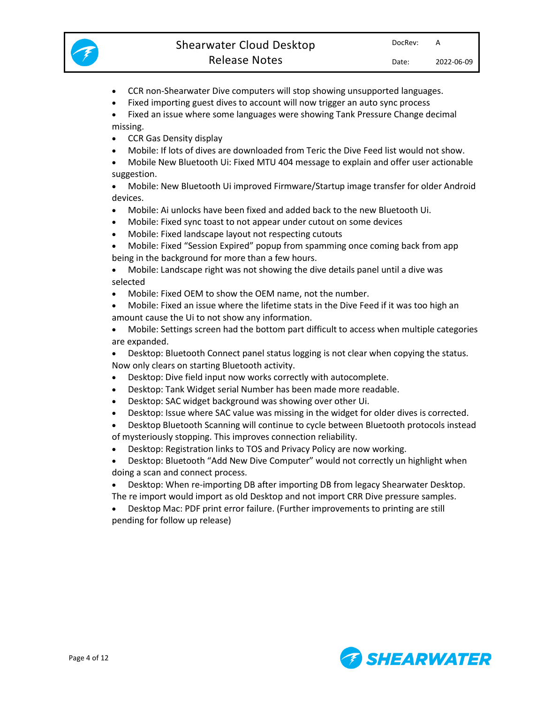

- CCR non-Shearwater Dive computers will stop showing unsupported languages.
- Fixed importing guest dives to account will now trigger an auto sync process
- Fixed an issue where some languages were showing Tank Pressure Change decimal missing.
- CCR Gas Density display
- Mobile: If lots of dives are downloaded from Teric the Dive Feed list would not show.
- Mobile New Bluetooth Ui: Fixed MTU 404 message to explain and offer user actionable suggestion.
- Mobile: New Bluetooth Ui improved Firmware/Startup image transfer for older Android devices.
- Mobile: Ai unlocks have been fixed and added back to the new Bluetooth Ui.
- Mobile: Fixed sync toast to not appear under cutout on some devices
- Mobile: Fixed landscape layout not respecting cutouts
- Mobile: Fixed "Session Expired" popup from spamming once coming back from app being in the background for more than a few hours.
- Mobile: Landscape right was not showing the dive details panel until a dive was selected
- Mobile: Fixed OEM to show the OEM name, not the number.
- Mobile: Fixed an issue where the lifetime stats in the Dive Feed if it was too high an amount cause the Ui to not show any information.
- Mobile: Settings screen had the bottom part difficult to access when multiple categories are expanded.
- Desktop: Bluetooth Connect panel status logging is not clear when copying the status. Now only clears on starting Bluetooth activity.
- Desktop: Dive field input now works correctly with autocomplete.
- Desktop: Tank Widget serial Number has been made more readable.
- Desktop: SAC widget background was showing over other Ui.
- Desktop: Issue where SAC value was missing in the widget for older dives is corrected.

• Desktop Bluetooth Scanning will continue to cycle between Bluetooth protocols instead of mysteriously stopping. This improves connection reliability.

- Desktop: Registration links to TOS and Privacy Policy are now working.
- Desktop: Bluetooth "Add New Dive Computer" would not correctly un highlight when doing a scan and connect process.
- Desktop: When re-importing DB after importing DB from legacy Shearwater Desktop. The re import would import as old Desktop and not import CRR Dive pressure samples.
- Desktop Mac: PDF print error failure. (Further improvements to printing are still pending for follow up release)

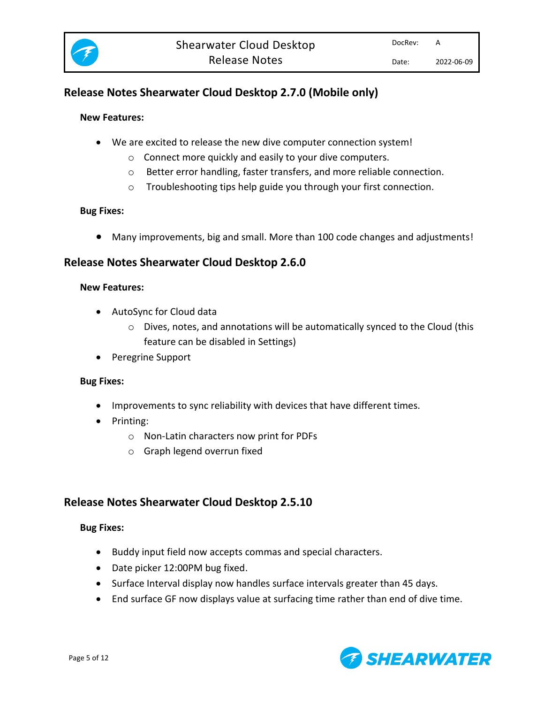

# **Release Notes Shearwater Cloud Desktop 2.7.0 (Mobile only)**

## **New Features:**

- We are excited to release the new dive computer connection system!
	- o Connect more quickly and easily to your dive computers.
	- o Better error handling, faster transfers, and more reliable connection.
	- o Troubleshooting tips help guide you through your first connection.

## **Bug Fixes:**

• Many improvements, big and small. More than 100 code changes and adjustments!

# **Release Notes Shearwater Cloud Desktop 2.6.0**

## **New Features:**

- AutoSync for Cloud data
	- $\circ$  Dives, notes, and annotations will be automatically synced to the Cloud (this feature can be disabled in Settings)
- Peregrine Support

## **Bug Fixes:**

- Improvements to sync reliability with devices that have different times.
- Printing:
	- o Non-Latin characters now print for PDFs
	- o Graph legend overrun fixed

# **Release Notes Shearwater Cloud Desktop 2.5.10**

- Buddy input field now accepts commas and special characters.
- Date picker 12:00PM bug fixed.
- Surface Interval display now handles surface intervals greater than 45 days.
- End surface GF now displays value at surfacing time rather than end of dive time.

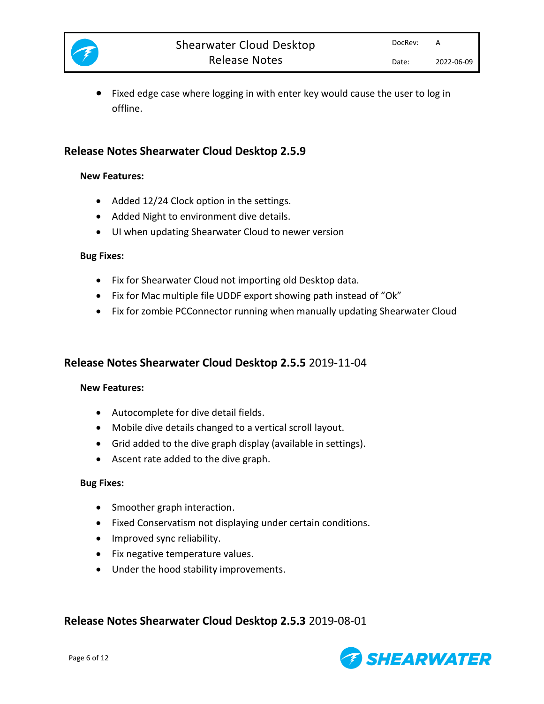

• Fixed edge case where logging in with enter key would cause the user to log in offline.

# **Release Notes Shearwater Cloud Desktop 2.5.9**

## **New Features:**

- Added 12/24 Clock option in the settings.
- Added Night to environment dive details.
- UI when updating Shearwater Cloud to newer version

## **Bug Fixes:**

- Fix for Shearwater Cloud not importing old Desktop data.
- Fix for Mac multiple file UDDF export showing path instead of "Ok"
- Fix for zombie PCConnector running when manually updating Shearwater Cloud

# **Release Notes Shearwater Cloud Desktop 2.5.5** 2019-11-04

# **New Features:**

- Autocomplete for dive detail fields.
- Mobile dive details changed to a vertical scroll layout.
- Grid added to the dive graph display (available in settings).
- Ascent rate added to the dive graph.

## **Bug Fixes:**

- Smoother graph interaction.
- Fixed Conservatism not displaying under certain conditions.
- Improved sync reliability.
- Fix negative temperature values.
- Under the hood stability improvements.

# **Release Notes Shearwater Cloud Desktop 2.5.3** 2019-08-01

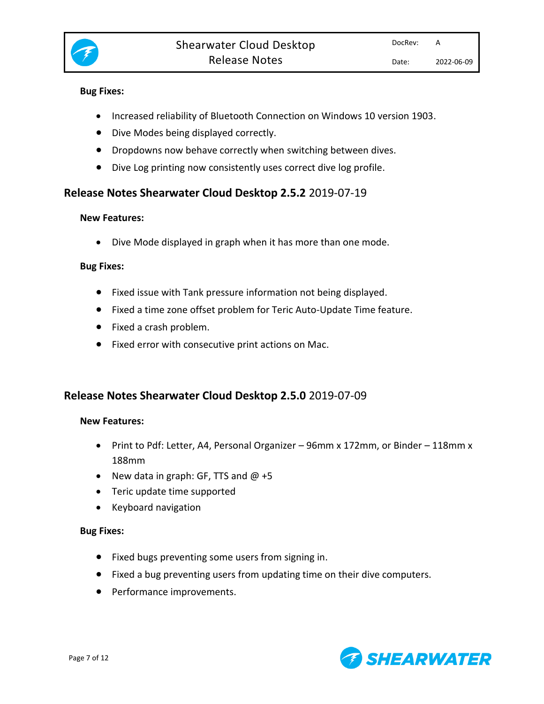

## **Bug Fixes:**

- Increased reliability of Bluetooth Connection on Windows 10 version 1903.
- Dive Modes being displayed correctly.
- Dropdowns now behave correctly when switching between dives.
- Dive Log printing now consistently uses correct dive log profile.

# **Release Notes Shearwater Cloud Desktop 2.5.2** 2019-07-19

## **New Features:**

• Dive Mode displayed in graph when it has more than one mode.

## **Bug Fixes:**

- Fixed issue with Tank pressure information not being displayed.
- Fixed a time zone offset problem for Teric Auto-Update Time feature.
- Fixed a crash problem.
- Fixed error with consecutive print actions on Mac.

# **Release Notes Shearwater Cloud Desktop 2.5.0** 2019-07-09

## **New Features:**

- Print to Pdf: Letter, A4, Personal Organizer 96mm x 172mm, or Binder 118mm x 188mm
- New data in graph: GF, TTS and  $@$  +5
- Teric update time supported
- Keyboard navigation

- Fixed bugs preventing some users from signing in.
- Fixed a bug preventing users from updating time on their dive computers.
- Performance improvements.

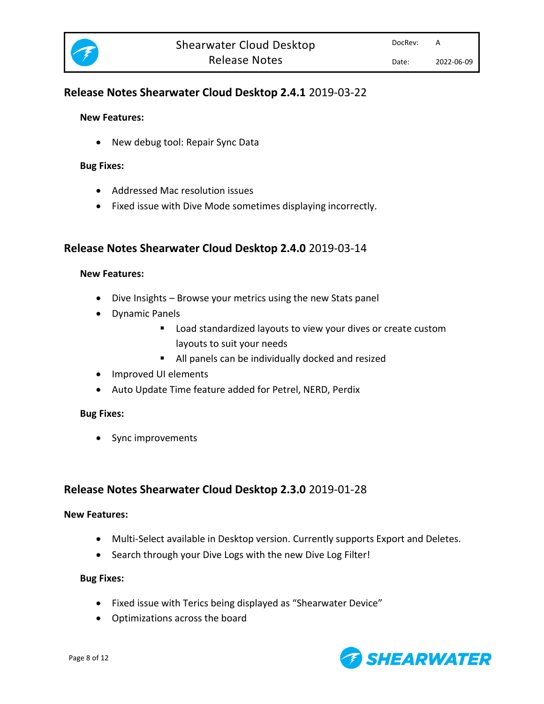

# **Release Notes Shearwater Cloud Desktop 2.4.1** 2019-03-22

## **New Features:**

• New debug tool: Repair Sync Data

#### **Bug Fixes:**

- Addressed Mac resolution issues
- Fixed issue with Dive Mode sometimes displaying incorrectly.

# **Release Notes Shearwater Cloud Desktop 2.4.0** 2019-03-14

#### **New Features:**

- Dive Insights Browse your metrics using the new Stats panel
- Dynamic Panels
	- Load standardized layouts to view your dives or create custom layouts to suit your needs
	- All panels can be individually docked and resized
- Improved UI elements
- Auto Update Time feature added for Petrel, NERD, Perdix

## **Bug Fixes:**

• Sync improvements

# **Release Notes Shearwater Cloud Desktop 2.3.0** 2019-01-28

#### **New Features:**

- Multi-Select available in Desktop version. Currently supports Export and Deletes.
- Search through your Dive Logs with the new Dive Log Filter!

- Fixed issue with Terics being displayed as "Shearwater Device"
- Optimizations across the board

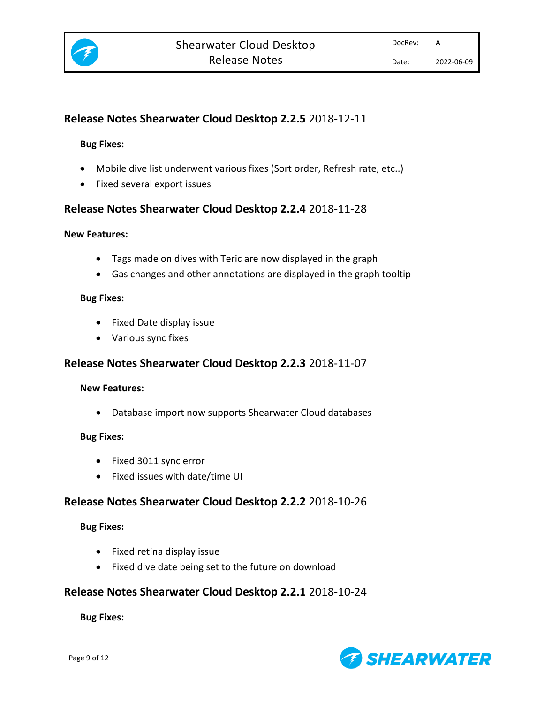

# **Release Notes Shearwater Cloud Desktop 2.2.5** 2018-12-11

## **Bug Fixes:**

- Mobile dive list underwent various fixes (Sort order, Refresh rate, etc..)
- Fixed several export issues

# **Release Notes Shearwater Cloud Desktop 2.2.4** 2018-11-28

## **New Features:**

- Tags made on dives with Teric are now displayed in the graph
- Gas changes and other annotations are displayed in the graph tooltip

## **Bug Fixes:**

- Fixed Date display issue
- Various sync fixes

# **Release Notes Shearwater Cloud Desktop 2.2.3** 2018-11-07

## **New Features:**

• Database import now supports Shearwater Cloud databases

## **Bug Fixes:**

- Fixed 3011 sync error
- Fixed issues with date/time UI

# **Release Notes Shearwater Cloud Desktop 2.2.2** 2018-10-26

## **Bug Fixes:**

- Fixed retina display issue
- Fixed dive date being set to the future on download

# **Release Notes Shearwater Cloud Desktop 2.2.1** 2018-10-24

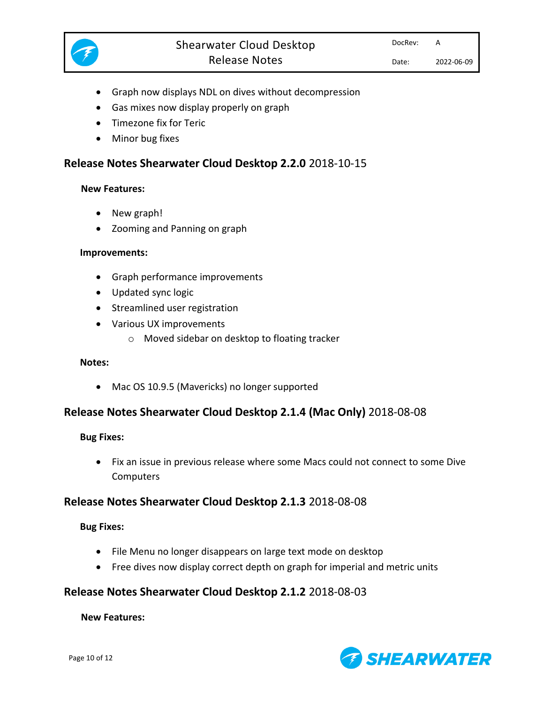

- Graph now displays NDL on dives without decompression
- Gas mixes now display properly on graph
- Timezone fix for Teric
- Minor bug fixes

# **Release Notes Shearwater Cloud Desktop 2.2.0** 2018-10-15

## **New Features:**

- New graph!
- Zooming and Panning on graph

## **Improvements:**

- Graph performance improvements
- Updated sync logic
- Streamlined user registration
- Various UX improvements
	- o Moved sidebar on desktop to floating tracker

## **Notes:**

• Mac OS 10.9.5 (Mavericks) no longer supported

# **Release Notes Shearwater Cloud Desktop 2.1.4 (Mac Only)** 2018-08-08

## **Bug Fixes:**

• Fix an issue in previous release where some Macs could not connect to some Dive **Computers** 

## **Release Notes Shearwater Cloud Desktop 2.1.3** 2018-08-08

## **Bug Fixes:**

- File Menu no longer disappears on large text mode on desktop
- Free dives now display correct depth on graph for imperial and metric units

# **Release Notes Shearwater Cloud Desktop 2.1.2** 2018-08-03

## **New Features:**

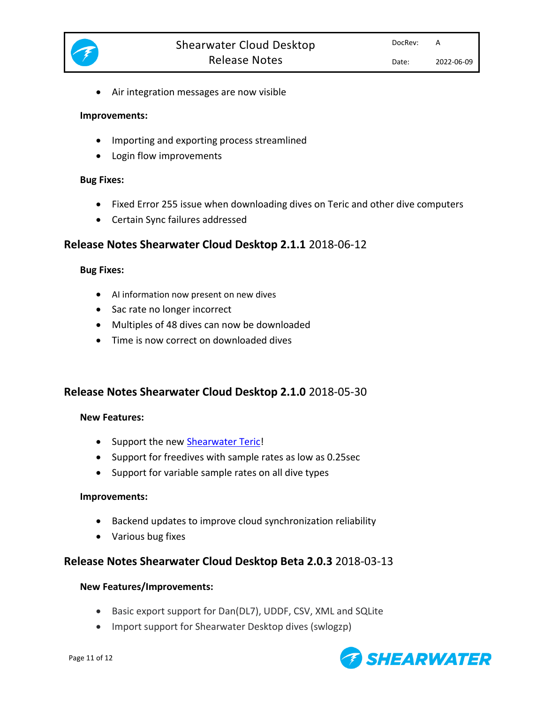

• Air integration messages are now visible

#### **Improvements:**

- Importing and exporting process streamlined
- Login flow improvements

#### **Bug Fixes:**

- Fixed Error 255 issue when downloading dives on Teric and other dive computers
- Certain Sync failures addressed

# **Release Notes Shearwater Cloud Desktop 2.1.1** 2018-06-12

#### **Bug Fixes:**

- AI information now present on new dives
- Sac rate no longer incorrect
- Multiples of 48 dives can now be downloaded
- Time is now correct on downloaded dives

# **Release Notes Shearwater Cloud Desktop 2.1.0** 2018-05-30

## **New Features:**

- Support the new [Shearwater Teric!](https://www.shearwater.com/products/teric/)
- Support for freedives with sample rates as low as 0.25sec
- Support for variable sample rates on all dive types

## **Improvements:**

- Backend updates to improve cloud synchronization reliability
- Various bug fixes

# **Release Notes Shearwater Cloud Desktop Beta 2.0.3** 2018-03-13

## **New Features/Improvements:**

- Basic export support for Dan(DL7), UDDF, CSV, XML and SQLite
- Import support for Shearwater Desktop dives (swlogzp)